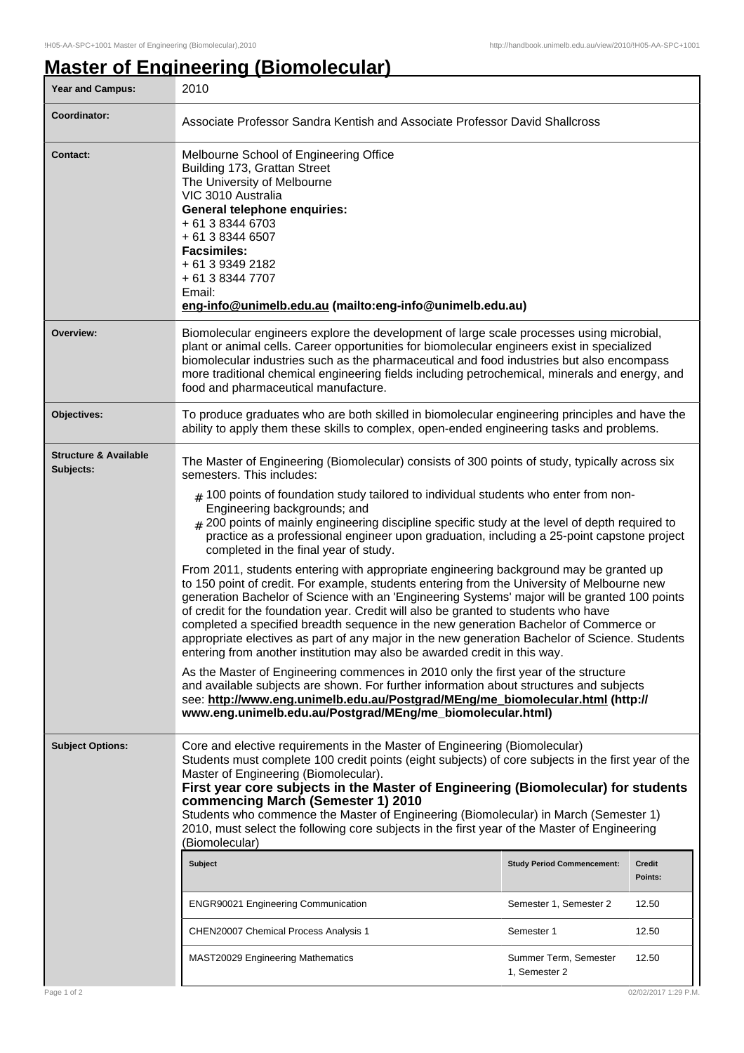## **Master of Engineering (Biomolecular)**

| Year and Campus:                              | 2010                                                                                                                                                                                                                                                                                                                                                                                                                                                                                                                                                                                                                                                                                                                                                                                                                                                                                                                                                                                                                                                                                                                                                                                                                                                                                                                                                                                                                                                                                           |  |                      |  |
|-----------------------------------------------|------------------------------------------------------------------------------------------------------------------------------------------------------------------------------------------------------------------------------------------------------------------------------------------------------------------------------------------------------------------------------------------------------------------------------------------------------------------------------------------------------------------------------------------------------------------------------------------------------------------------------------------------------------------------------------------------------------------------------------------------------------------------------------------------------------------------------------------------------------------------------------------------------------------------------------------------------------------------------------------------------------------------------------------------------------------------------------------------------------------------------------------------------------------------------------------------------------------------------------------------------------------------------------------------------------------------------------------------------------------------------------------------------------------------------------------------------------------------------------------------|--|----------------------|--|
| Coordinator:                                  | Associate Professor Sandra Kentish and Associate Professor David Shallcross                                                                                                                                                                                                                                                                                                                                                                                                                                                                                                                                                                                                                                                                                                                                                                                                                                                                                                                                                                                                                                                                                                                                                                                                                                                                                                                                                                                                                    |  |                      |  |
| Contact:                                      | Melbourne School of Engineering Office<br>Building 173, Grattan Street<br>The University of Melbourne<br>VIC 3010 Australia<br>General telephone enquiries:<br>+ 61 3 8344 6703<br>+ 61 3 8344 6507<br><b>Facsimiles:</b><br>+ 61 3 9349 2182<br>+ 61 3 8344 7707<br>Email:<br>eng-info@unimelb.edu.au (mailto:eng-info@unimelb.edu.au)                                                                                                                                                                                                                                                                                                                                                                                                                                                                                                                                                                                                                                                                                                                                                                                                                                                                                                                                                                                                                                                                                                                                                        |  |                      |  |
| Overview:                                     | Biomolecular engineers explore the development of large scale processes using microbial,<br>plant or animal cells. Career opportunities for biomolecular engineers exist in specialized<br>biomolecular industries such as the pharmaceutical and food industries but also encompass<br>more traditional chemical engineering fields including petrochemical, minerals and energy, and<br>food and pharmaceutical manufacture.                                                                                                                                                                                                                                                                                                                                                                                                                                                                                                                                                                                                                                                                                                                                                                                                                                                                                                                                                                                                                                                                 |  |                      |  |
| <b>Objectives:</b>                            | To produce graduates who are both skilled in biomolecular engineering principles and have the<br>ability to apply them these skills to complex, open-ended engineering tasks and problems.                                                                                                                                                                                                                                                                                                                                                                                                                                                                                                                                                                                                                                                                                                                                                                                                                                                                                                                                                                                                                                                                                                                                                                                                                                                                                                     |  |                      |  |
| <b>Structure &amp; Available</b><br>Subjects: | The Master of Engineering (Biomolecular) consists of 300 points of study, typically across six<br>semesters. This includes:<br>$#$ 100 points of foundation study tailored to individual students who enter from non-<br>Engineering backgrounds; and<br>$_{\#}$ 200 points of mainly engineering discipline specific study at the level of depth required to<br>practice as a professional engineer upon graduation, including a 25-point capstone project<br>completed in the final year of study.<br>From 2011, students entering with appropriate engineering background may be granted up<br>to 150 point of credit. For example, students entering from the University of Melbourne new<br>generation Bachelor of Science with an 'Engineering Systems' major will be granted 100 points<br>of credit for the foundation year. Credit will also be granted to students who have<br>completed a specified breadth sequence in the new generation Bachelor of Commerce or<br>appropriate electives as part of any major in the new generation Bachelor of Science. Students<br>entering from another institution may also be awarded credit in this way.<br>As the Master of Engineering commences in 2010 only the first year of the structure<br>and available subjects are shown. For further information about structures and subjects<br>see: http://www.eng.unimelb.edu.au/Postgrad/MEng/me_biomolecular.html (http://<br>www.eng.unimelb.edu.au/Postgrad/MEng/me_biomolecular.html) |  |                      |  |
| <b>Subject Options:</b>                       | Core and elective requirements in the Master of Engineering (Biomolecular)<br>Students must complete 100 credit points (eight subjects) of core subjects in the first year of the<br>Master of Engineering (Biomolecular).<br>First year core subjects in the Master of Engineering (Biomolecular) for students<br>commencing March (Semester 1) 2010<br>Students who commence the Master of Engineering (Biomolecular) in March (Semester 1)<br>2010, must select the following core subjects in the first year of the Master of Engineering<br>(Biomolecular)<br>Subject<br>Credit<br><b>Study Period Commencement:</b><br>Points:<br><b>ENGR90021 Engineering Communication</b><br>Semester 1, Semester 2<br>12.50<br>CHEN20007 Chemical Process Analysis 1<br>Semester 1<br>12.50<br>Summer Term, Semester<br>12.50<br>MAST20029 Engineering Mathematics<br>1, Semester 2                                                                                                                                                                                                                                                                                                                                                                                                                                                                                                                                                                                                                  |  |                      |  |
| Page 1 of 2                                   |                                                                                                                                                                                                                                                                                                                                                                                                                                                                                                                                                                                                                                                                                                                                                                                                                                                                                                                                                                                                                                                                                                                                                                                                                                                                                                                                                                                                                                                                                                |  | 02/02/2017 1:29 P.M. |  |